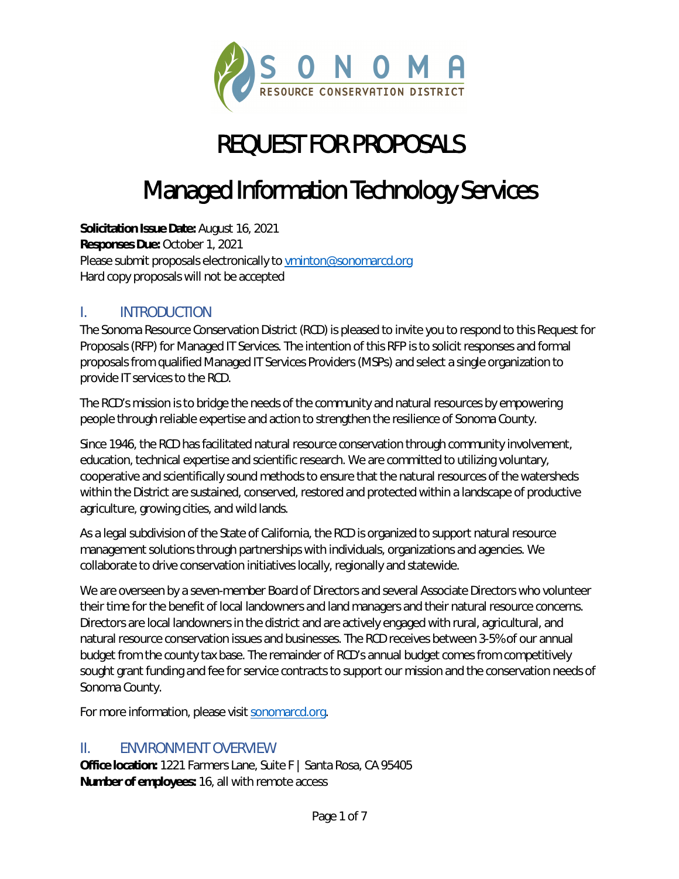

## REQUEST FOR PROPOSALS

## Managed Information Technology Services

**Solicitation Issue Date:** August 16, 2021 **Responses Due:** October 1, 2021 Please submit proposals electronically t[o vminton@sonomarcd.org](mailto:vminton@sonomarcd.org) Hard copy proposals will not be accepted

#### I. INTRODUCTION

The Sonoma Resource Conservation District (RCD) is pleased to invite you to respond to this Request for Proposals (RFP) for Managed IT Services. The intention of this RFP is to solicit responses and formal proposals from qualified Managed IT Services Providers (MSPs) and select a single organization to provide IT services to the RCD.

The RCD's mission is to bridge the needs of the community and natural resources by empowering people through reliable expertise and action to strengthen the resilience of Sonoma County.

Since 1946, the RCD has facilitated natural resource conservation through community involvement, education, technical expertise and scientific research. We are committed to utilizing voluntary, cooperative and scientifically sound methods to ensure that the natural resources of the watersheds within the District are sustained, conserved, restored and protected within a landscape of productive agriculture, growing cities, and wild lands.

As a legal subdivision of the State of California, the RCD is organized to support natural resource management solutions through partnerships with individuals, organizations and agencies. We collaborate to drive conservation initiatives locally, regionally and statewide.

We are overseen by a seven-member Board of Directors and several Associate Directors who volunteer their time for the benefit of local landowners and land managers and their natural resource concerns. Directors are local landowners in the district and are actively engaged with rural, agricultural, and natural resource conservation issues and businesses. The RCD receives between 3-5% of our annual budget from the county tax base. The remainder of RCD's annual budget comes from competitively sought grant funding and fee for service contracts to support our mission and the conservation needs of Sonoma County.

For more information, please visi[t sonomarcd.org.](https://sonomarcd.org/)

#### II. ENVIRONMENT OVERVIEW

**Office location:** 1221 Farmers Lane, Suite F | Santa Rosa, CA 95405 **Number of employees:** 16, all with remote access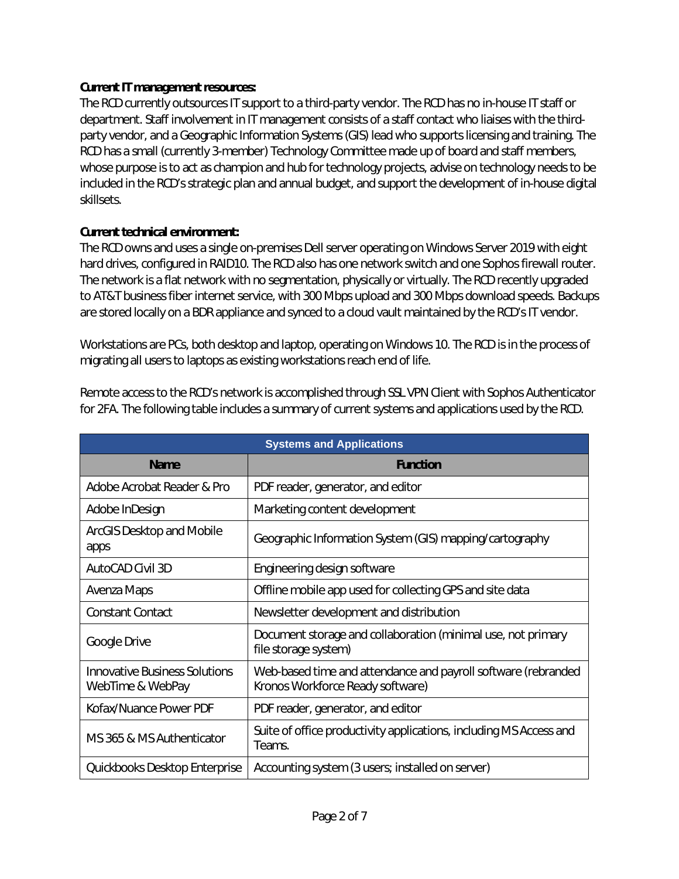#### **Current IT management resources:**

The RCD currently outsources IT support to a third-party vendor. The RCD has no in-house IT staff or department. Staff involvement in IT management consists of a staff contact who liaises with the thirdparty vendor, and a Geographic Information Systems (GIS) lead who supports licensing and training. The RCD has a small (currently 3-member) Technology Committee made up of board and staff members, whose purpose is to act as champion and hub for technology projects, advise on technology needs to be included in the RCD's strategic plan and annual budget, and support the development of in-house digital skillsets.

#### **Current technical environment:**

The RCD owns and uses a single on-premises Dell server operating on Windows Server 2019 with eight hard drives, configured in RAID10. The RCD also has one network switch and one Sophos firewall router. The network is a flat network with no segmentation, physically or virtually. The RCD recently upgraded to AT&T business fiber internet service, with 300 Mbps upload and 300 Mbps download speeds. Backups are stored locally on a BDR appliance and synced to a cloud vault maintained by the RCD's IT vendor.

Workstations are PCs, both desktop and laptop, operating on Windows 10. The RCD is in the process of migrating all users to laptops as existing workstations reach end of life.

| Remote access to the RCD's network is accomplished through SSL VPN Client with Sophos Authenticator  |
|------------------------------------------------------------------------------------------------------|
| for 2FA. The following table includes a summary of current systems and applications used by the RCD. |
|                                                                                                      |

| <b>Systems and Applications</b>                          |                                                                                                   |  |
|----------------------------------------------------------|---------------------------------------------------------------------------------------------------|--|
| <b>Name</b>                                              | <b>Function</b>                                                                                   |  |
| Adobe Acrobat Reader & Pro                               | PDF reader, generator, and editor                                                                 |  |
| Adobe InDesign                                           | Marketing content development                                                                     |  |
| ArcGIS Desktop and Mobile<br>apps                        | Geographic Information System (GIS) mapping/cartography                                           |  |
| AutoCAD Civil 3D                                         | Engineering design software                                                                       |  |
| Avenza Maps                                              | Offline mobile app used for collecting GPS and site data                                          |  |
| <b>Constant Contact</b>                                  | Newsletter development and distribution                                                           |  |
| Google Drive                                             | Document storage and collaboration (minimal use, not primary<br>file storage system)              |  |
| <b>Innovative Business Solutions</b><br>WebTime & WebPay | Web-based time and attendance and payroll software (rebranded<br>Kronos Workforce Ready software) |  |
| Kofax/Nuance Power PDF                                   | PDF reader, generator, and editor                                                                 |  |
| MS 365 & MS Authenticator                                | Suite of office productivity applications, including MS Access and<br>Teams.                      |  |
| Quickbooks Desktop Enterprise                            | Accounting system (3 users; installed on server)                                                  |  |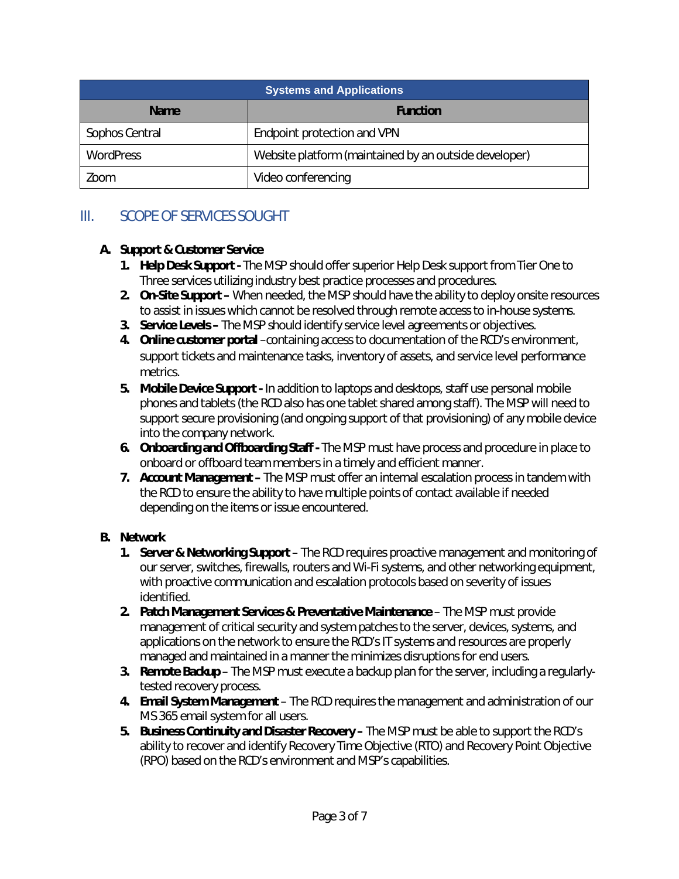| <b>Systems and Applications</b> |                                                       |  |
|---------------------------------|-------------------------------------------------------|--|
| <b>Name</b>                     | <b>Function</b>                                       |  |
| Sophos Central                  | Endpoint protection and VPN                           |  |
| <b>WordPress</b>                | Website platform (maintained by an outside developer) |  |
| Zoom                            | Video conferencing                                    |  |

### III. SCOPE OF SERVICES SOUGHT

#### **A. Support & Customer Service**

- **1. Help Desk Support** The MSP should offer superior Help Desk support from Tier One to Three services utilizing industry best practice processes and procedures.
- **2. On-Site Support** When needed, the MSP should have the ability to deploy onsite resources to assist in issues which cannot be resolved through remote access to in-house systems.
- **3. Service Levels** The MSP should identify service level agreements or objectives.
- **4. Online customer portal** –containing access to documentation of the RCD's environment, support tickets and maintenance tasks, inventory of assets, and service level performance metrics.
- **5. Mobile Device Support** In addition to laptops and desktops, staff use personal mobile phones and tablets (the RCD also has one tablet shared among staff). The MSP will need to support secure provisioning (and ongoing support of that provisioning) of any mobile device into the company network.
- **6. Onboarding and Offboarding Staff** The MSP must have process and procedure in place to onboard or offboard team members in a timely and efficient manner.
- **7. Account Management** The MSP must offer an internal escalation process in tandem with the RCD to ensure the ability to have multiple points of contact available if needed depending on the items or issue encountered.

#### **B. Network**

- **1. Server & Networking Support** The RCD requires proactive management and monitoring of our server, switches, firewalls, routers and Wi-Fi systems, and other networking equipment, with proactive communication and escalation protocols based on severity of issues identified.
- **2. Patch Management Services & Preventative Maintenance** The MSP must provide management of critical security and system patches to the server, devices, systems, and applications on the network to ensure the RCD's IT systems and resources are properly managed and maintained in a manner the minimizes disruptions for end users.
- **3. Remote Backup** The MSP must execute a backup plan for the server, including a regularlytested recovery process.
- **4. Email System Management** The RCD requires the management and administration of our MS 365 email system for all users.
- **5. Business Continuity and Disaster Recovery** The MSP must be able to support the RCD's ability to recover and identify Recovery Time Objective (RTO) and Recovery Point Objective (RPO) based on the RCD's environment and MSP's capabilities.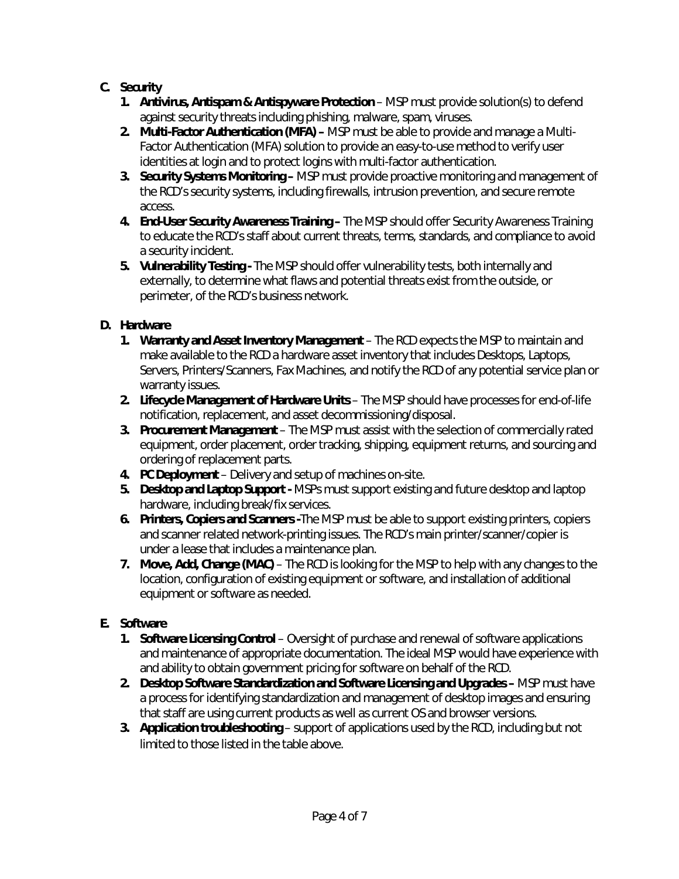#### **C. Security**

- **1. Antivirus, Antispam & Antispyware Protection** MSP must provide solution(s) to defend against security threats including phishing, malware, spam, viruses.
- **2. Multi-Factor Authentication (MFA)** MSP must be able to provide and manage a Multi-Factor Authentication (MFA) solution to provide an easy-to-use method to verify user identities at login and to protect logins with multi-factor authentication.
- **3. Security Systems Monitoring** MSP must provide proactive monitoring and management of the RCD's security systems, including firewalls, intrusion prevention, and secure remote access.
- **4. End-User Security Awareness Training –** The MSP should offer Security Awareness Training to educate the RCD's staff about current threats, terms, standards, and compliance to avoid a security incident.
- **5. Vulnerability Testing -** The MSP should offer vulnerability tests, both internally and externally, to determine what flaws and potential threats exist from the outside, or perimeter, of the RCD's business network.

### **D. Hardware**

- **1. Warranty and Asset Inventory Management** The RCD expects the MSP to maintain and make available to the RCD a hardware asset inventory that includes Desktops, Laptops, Servers, Printers/Scanners, Fax Machines, and notify the RCD of any potential service plan or warranty issues.
- **2. Lifecycle Management of Hardware Units** The MSP should have processes for end-of-life notification, replacement, and asset decommissioning/disposal.
- **3. Procurement Management** The MSP must assist with the selection of commercially rated equipment, order placement, order tracking, shipping, equipment returns, and sourcing and ordering of replacement parts.
- **4. PC Deployment** Delivery and setup of machines on-site.
- **5. Desktop and Laptop Support** MSPs must support existing and future desktop and laptop hardware, including break/fix services.
- **6. Printers, Copiers and Scanners -**The MSP must be able to support existing printers, copiers and scanner related network-printing issues. The RCD's main printer/scanner/copier is under a lease that includes a maintenance plan.
- **7. Move, Add, Change (MAC)** The RCD is looking for the MSP to help with any changes to the location, configuration of existing equipment or software, and installation of additional equipment or software as needed.

### **E. Software**

- **1. Software Licensing Control** Oversight of purchase and renewal of software applications and maintenance of appropriate documentation. The ideal MSP would have experience with and ability to obtain government pricing for software on behalf of the RCD.
- **2. Desktop Software Standardization and Software Licensing and Upgrades** MSP must have a process for identifying standardization and management of desktop images and ensuring that staff are using current products as well as current OS and browser versions.
- **3. Application troubleshooting** support of applications used by the RCD, including but not limited to those listed in the table above.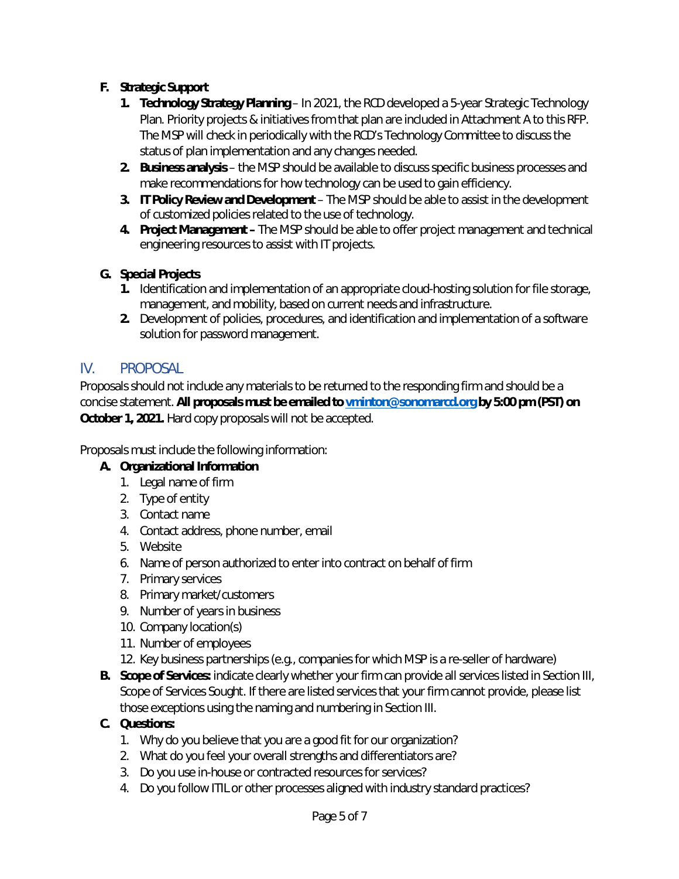#### **F. Strategic Support**

- **1. Technology Strategy Planning** In 2021, the RCD developed a 5-year Strategic Technology Plan. Priority projects & initiatives from that plan are included in Attachment A to this RFP. The MSP will check in periodically with the RCD's Technology Committee to discuss the status of plan implementation and any changes needed.
- **2. Business analysis** the MSP should be available to discuss specific business processes and make recommendations for how technology can be used to gain efficiency.
- **3. IT Policy Review and Development** The MSP should be able to assist in the development of customized policies related to the use of technology.
- **4. Project Management** The MSP should be able to offer project management and technical engineering resources to assist with IT projects.

#### **G. Special Projects**

- **1.** Identification and implementation of an appropriate cloud-hosting solution for file storage, management, and mobility, based on current needs and infrastructure.
- **2.** Development of policies, procedures, and identification and implementation of a software solution for password management.

#### IV. PROPOSAL

Proposals should not include any materials to be returned to the responding firm and should be a concise statement. **All proposals must be emailed t[o vminton@sonomarcd.org](mailto:vminton@sonomarcd.org) by 5:00 pm (PST) on October 1, 2021.** Hard copy proposals will not be accepted.

Proposals must include the following information:

#### **A. Organizational Information**

- 1. Legal name of firm
- 2. Type of entity
- 3. Contact name
- 4. Contact address, phone number, email
- 5. Website
- 6. Name of person authorized to enter into contract on behalf of firm
- 7. Primary services
- 8. Primary market/customers
- 9. Number of years in business
- 10. Company location(s)
- 11. Number of employees
- 12. Key business partnerships (e.g., companies for which MSP is a re-seller of hardware)
- **B. Scope of Services:** indicate clearly whether your firm can provide all services listed in Section III, Scope of Services Sought. If there are listed services that your firm cannot provide, please list those exceptions using the naming and numbering in Section III.

#### **C. Questions:**

- 1. Why do you believe that you are a good fit for our organization?
- 2. What do you feel your overall strengths and differentiators are?
- 3. Do you use in-house or contracted resources for services?
- 4. Do you follow ITIL or other processes aligned with industry standard practices?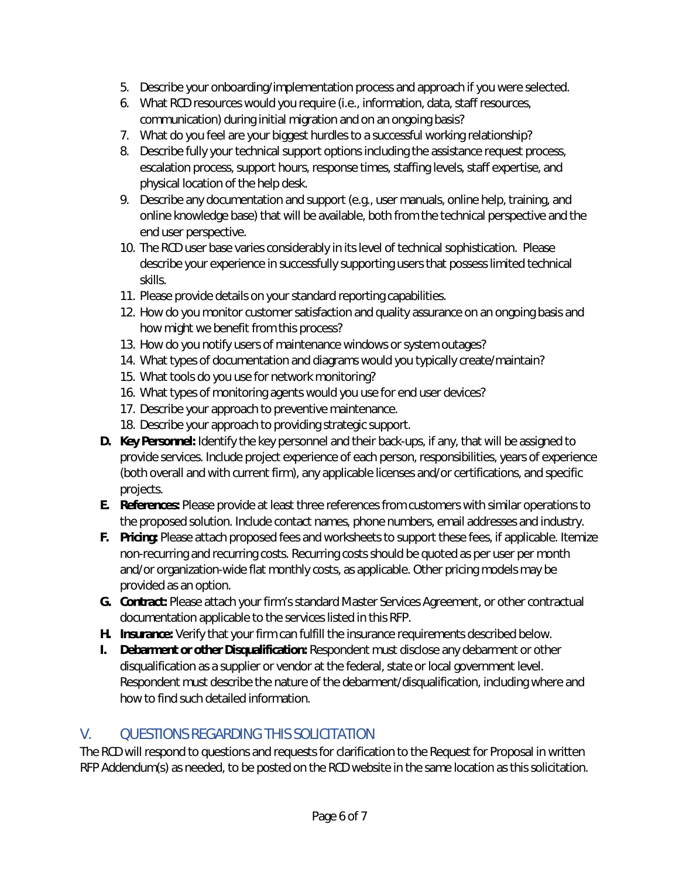- 5. Describe your onboarding/implementation process and approach if you were selected.
- 6. What RCD resources would you require (i.e., information, data, staff resources, communication) during initial migration and on an ongoing basis?
- 7. What do you feel are your biggest hurdles to a successful working relationship?
- 8. Describe fully your technical support options including the assistance request process, escalation process, support hours, response times, staffing levels, staff expertise, and physical location of the help desk.
- 9. Describe any documentation and support (e.g., user manuals, online help, training, and online knowledge base) that will be available, both from the technical perspective and the end user perspective.
- 10. The RCD user base varies considerably in its level of technical sophistication. Please describe your experience in successfully supporting users that possess limited technical skills.
- 11. Please provide details on your standard reporting capabilities.
- 12. How do you monitor customer satisfaction and quality assurance on an ongoing basis and how might we benefit from this process?
- 13. How do you notify users of maintenance windows or system outages?
- 14. What types of documentation and diagrams would you typically create/maintain?
- 15. What tools do you use for network monitoring?
- 16. What types of monitoring agents would you use for end user devices?
- 17. Describe your approach to preventive maintenance.
- 18. Describe your approach to providing strategic support.
- **D. Key Personnel:** Identify the key personnel and their back-ups, if any, that will be assigned to provide services. Include project experience of each person, responsibilities, years of experience (both overall and with current firm), any applicable licenses and/or certifications, and specific projects.
- **E. References:** Please provide at least three references from customers with similar operations to the proposed solution. Include contact names, phone numbers, email addresses and industry.
- **F. Pricing:** Please attach proposed fees and worksheets to support these fees, if applicable. Itemize non-recurring and recurring costs. Recurring costs should be quoted as per user per month and/or organization-wide flat monthly costs, as applicable. Other pricing models may be provided as an option.
- **G. Contract:** Please attach your firm's standard Master Services Agreement, or other contractual documentation applicable to the services listed in this RFP.
- **H. Insurance:** Verify that your firm can fulfill the insurance requirements described below.
- **I. Debarment or other Disqualification:** Respondent must disclose any debarment or other disqualification as a supplier or vendor at the federal, state or local government level. Respondent must describe the nature of the debarment/disqualification, including where and how to find such detailed information.

### V. QUESTIONS REGARDING THIS SOLICITATION

The RCD will respond to questions and requests for clarification to the Request for Proposal in written RFP Addendum(s) as needed, to be posted on the RCD website in the same location as this solicitation.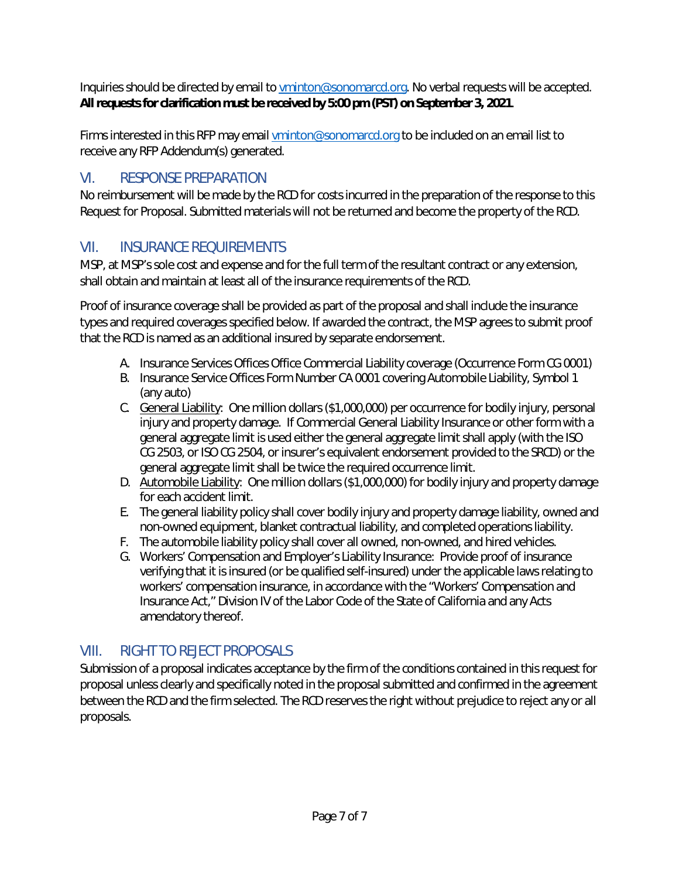Inquiries should be directed by email t[o vminton@sonomarcd.org.](mailto:vminton@sonomarcd.org) No verbal requests will be accepted. **All requests for clarification must be received by 5:00 pm (PST) on September 3, 2021**.

Firms interested in this RFP may email [vminton@sonomarcd.org](mailto:vminton@sonomarcd.org) to be included on an email list to receive any RFP Addendum(s) generated.

## VI. RESPONSE PREPARATION

No reimbursement will be made by the RCD for costs incurred in the preparation of the response to this Request for Proposal. Submitted materials will not be returned and become the property of the RCD.

### VII. INSURANCE REQUIREMENTS

MSP, at MSP's sole cost and expense and for the full term of the resultant contract or any extension, shall obtain and maintain at least all of the insurance requirements of the RCD.

Proof of insurance coverage shall be provided as part of the proposal and shall include the insurance types and required coverages specified below. If awarded the contract, the MSP agrees to submit proof that the RCD is named as an additional insured by separate endorsement.

- A. Insurance Services Offices Office Commercial Liability coverage (Occurrence Form CG 0001)
- B. Insurance Service Offices Form Number CA 0001 covering Automobile Liability, Symbol 1 (any auto)
- C. General Liability: One million dollars (\$1,000,000) per occurrence for bodily injury, personal injury and property damage. If Commercial General Liability Insurance or other form with a general aggregate limit is used either the general aggregate limit shall apply (with the ISO CG 2503, or ISO CG 2504, or insurer's equivalent endorsement provided to the SRCD) or the general aggregate limit shall be twice the required occurrence limit.
- D. Automobile Liability: One million dollars (\$1,000,000) for bodily injury and property damage for each accident limit.
- E. The general liability policy shall cover bodily injury and property damage liability, owned and non-owned equipment, blanket contractual liability, and completed operations liability.
- F. The automobile liability policy shall cover all owned, non-owned, and hired vehicles.
- G. Workers' Compensation and Employer's Liability Insurance: Provide proof of insurance verifying that it is insured (or be qualified self-insured) under the applicable laws relating to workers' compensation insurance, in accordance with the "Workers' Compensation and Insurance Act," Division IV of the Labor Code of the State of California and any Acts amendatory thereof.

### VIII. RIGHT TO REJECT PROPOSALS

Submission of a proposal indicates acceptance by the firm of the conditions contained in this request for proposal unless clearly and specifically noted in the proposal submitted and confirmed in the agreement between the RCD and the firm selected. The RCD reserves the right without prejudice to reject any or all proposals.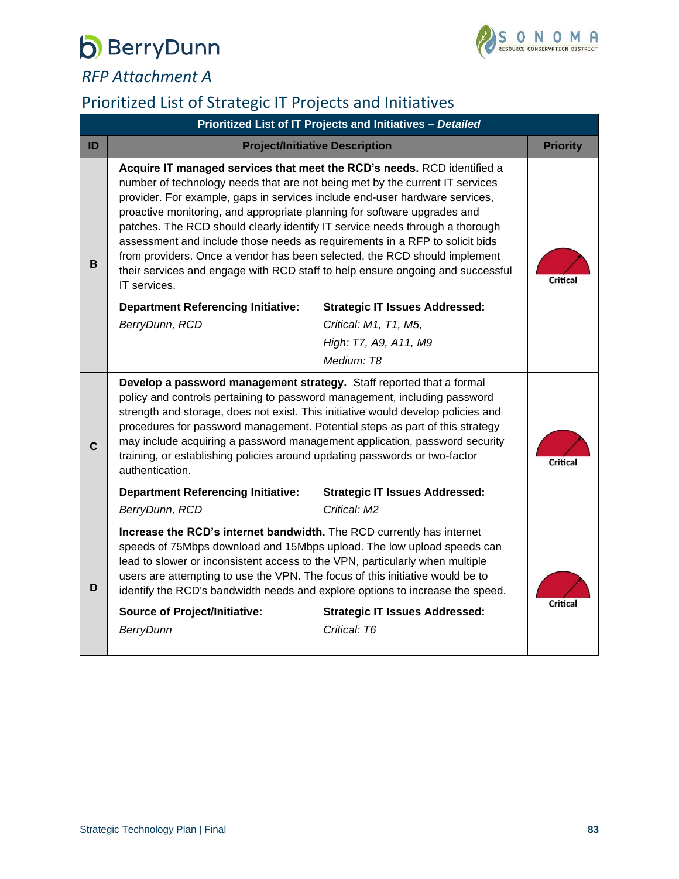

*RFP Attachment A*

## Prioritized List of Strategic IT Projects and Initiatives

|    | Prioritized List of IT Projects and Initiatives - Detailed                                                                                                                                                                                                                                                                                                                                                                                                                                                                                                                                                                                                       |                                       |                 |  |
|----|------------------------------------------------------------------------------------------------------------------------------------------------------------------------------------------------------------------------------------------------------------------------------------------------------------------------------------------------------------------------------------------------------------------------------------------------------------------------------------------------------------------------------------------------------------------------------------------------------------------------------------------------------------------|---------------------------------------|-----------------|--|
| ID |                                                                                                                                                                                                                                                                                                                                                                                                                                                                                                                                                                                                                                                                  | <b>Project/Initiative Description</b> | <b>Priority</b> |  |
| В  | Acquire IT managed services that meet the RCD's needs. RCD identified a<br>number of technology needs that are not being met by the current IT services<br>provider. For example, gaps in services include end-user hardware services,<br>proactive monitoring, and appropriate planning for software upgrades and<br>patches. The RCD should clearly identify IT service needs through a thorough<br>assessment and include those needs as requirements in a RFP to solicit bids<br>from providers. Once a vendor has been selected, the RCD should implement<br>their services and engage with RCD staff to help ensure ongoing and successful<br>IT services. |                                       |                 |  |
|    | <b>Department Referencing Initiative:</b>                                                                                                                                                                                                                                                                                                                                                                                                                                                                                                                                                                                                                        | <b>Strategic IT Issues Addressed:</b> |                 |  |
|    | BerryDunn, RCD                                                                                                                                                                                                                                                                                                                                                                                                                                                                                                                                                                                                                                                   | Critical: M1, T1, M5,                 |                 |  |
|    |                                                                                                                                                                                                                                                                                                                                                                                                                                                                                                                                                                                                                                                                  | High: T7, A9, A11, M9                 |                 |  |
|    |                                                                                                                                                                                                                                                                                                                                                                                                                                                                                                                                                                                                                                                                  | Medium: T8                            |                 |  |
| C  | Develop a password management strategy. Staff reported that a formal<br>policy and controls pertaining to password management, including password<br>strength and storage, does not exist. This initiative would develop policies and<br>procedures for password management. Potential steps as part of this strategy<br>may include acquiring a password management application, password security<br>training, or establishing policies around updating passwords or two-factor<br>authentication.                                                                                                                                                             |                                       | Critical        |  |
|    | <b>Department Referencing Initiative:</b>                                                                                                                                                                                                                                                                                                                                                                                                                                                                                                                                                                                                                        | <b>Strategic IT Issues Addressed:</b> |                 |  |
|    | BerryDunn, RCD                                                                                                                                                                                                                                                                                                                                                                                                                                                                                                                                                                                                                                                   | Critical: M2                          |                 |  |
| D  | Increase the RCD's internet bandwidth. The RCD currently has internet<br>speeds of 75Mbps download and 15Mbps upload. The low upload speeds can<br>lead to slower or inconsistent access to the VPN, particularly when multiple<br>users are attempting to use the VPN. The focus of this initiative would be to<br>identify the RCD's bandwidth needs and explore options to increase the speed.                                                                                                                                                                                                                                                                |                                       |                 |  |
|    | <b>Source of Project/Initiative:</b>                                                                                                                                                                                                                                                                                                                                                                                                                                                                                                                                                                                                                             | <b>Strategic IT Issues Addressed:</b> | Critical        |  |
|    | <b>BerryDunn</b>                                                                                                                                                                                                                                                                                                                                                                                                                                                                                                                                                                                                                                                 | Critical: T6                          |                 |  |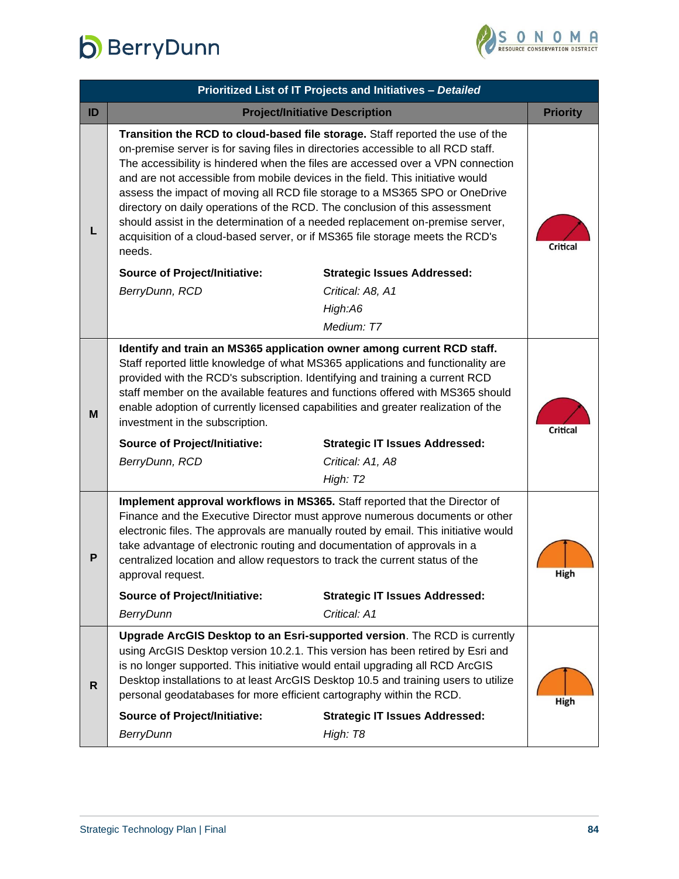

|    | Prioritized List of IT Projects and Initiatives - Detailed                                                                                                                                                                                                                                                                                                                                                                                                                                                                                                                                                                                                                        |                                       |                 |  |
|----|-----------------------------------------------------------------------------------------------------------------------------------------------------------------------------------------------------------------------------------------------------------------------------------------------------------------------------------------------------------------------------------------------------------------------------------------------------------------------------------------------------------------------------------------------------------------------------------------------------------------------------------------------------------------------------------|---------------------------------------|-----------------|--|
| ID |                                                                                                                                                                                                                                                                                                                                                                                                                                                                                                                                                                                                                                                                                   | <b>Project/Initiative Description</b> | <b>Priority</b> |  |
| L  | Transition the RCD to cloud-based file storage. Staff reported the use of the<br>on-premise server is for saving files in directories accessible to all RCD staff.<br>The accessibility is hindered when the files are accessed over a VPN connection<br>and are not accessible from mobile devices in the field. This initiative would<br>assess the impact of moving all RCD file storage to a MS365 SPO or OneDrive<br>directory on daily operations of the RCD. The conclusion of this assessment<br>should assist in the determination of a needed replacement on-premise server,<br>acquisition of a cloud-based server, or if MS365 file storage meets the RCD's<br>needs. |                                       |                 |  |
|    | <b>Source of Project/Initiative:</b>                                                                                                                                                                                                                                                                                                                                                                                                                                                                                                                                                                                                                                              | <b>Strategic Issues Addressed:</b>    |                 |  |
|    | BerryDunn, RCD                                                                                                                                                                                                                                                                                                                                                                                                                                                                                                                                                                                                                                                                    | Critical: A8, A1                      |                 |  |
|    |                                                                                                                                                                                                                                                                                                                                                                                                                                                                                                                                                                                                                                                                                   | High:A6                               |                 |  |
|    |                                                                                                                                                                                                                                                                                                                                                                                                                                                                                                                                                                                                                                                                                   | Medium: T7                            |                 |  |
| M  | Identify and train an MS365 application owner among current RCD staff.<br>Staff reported little knowledge of what MS365 applications and functionality are<br>provided with the RCD's subscription. Identifying and training a current RCD<br>staff member on the available features and functions offered with MS365 should<br>enable adoption of currently licensed capabilities and greater realization of the<br>investment in the subscription.                                                                                                                                                                                                                              |                                       | Critical        |  |
|    | <b>Source of Project/Initiative:</b>                                                                                                                                                                                                                                                                                                                                                                                                                                                                                                                                                                                                                                              | <b>Strategic IT Issues Addressed:</b> |                 |  |
|    | BerryDunn, RCD                                                                                                                                                                                                                                                                                                                                                                                                                                                                                                                                                                                                                                                                    | Critical: A1, A8                      |                 |  |
|    |                                                                                                                                                                                                                                                                                                                                                                                                                                                                                                                                                                                                                                                                                   | High: T <sub>2</sub>                  |                 |  |
| P  | Implement approval workflows in MS365. Staff reported that the Director of<br>Finance and the Executive Director must approve numerous documents or other<br>electronic files. The approvals are manually routed by email. This initiative would<br>take advantage of electronic routing and documentation of approvals in a<br>centralized location and allow requestors to track the current status of the<br>approval request.                                                                                                                                                                                                                                                 |                                       | High            |  |
|    | <b>Source of Project/Initiative:</b>                                                                                                                                                                                                                                                                                                                                                                                                                                                                                                                                                                                                                                              | <b>Strategic IT Issues Addressed:</b> |                 |  |
|    | <b>BerryDunn</b>                                                                                                                                                                                                                                                                                                                                                                                                                                                                                                                                                                                                                                                                  | Critical: A1                          |                 |  |
| R  | Upgrade ArcGIS Desktop to an Esri-supported version. The RCD is currently<br>using ArcGIS Desktop version 10.2.1. This version has been retired by Esri and<br>is no longer supported. This initiative would entail upgrading all RCD ArcGIS<br>Desktop installations to at least ArcGIS Desktop 10.5 and training users to utilize<br>personal geodatabases for more efficient cartography within the RCD.                                                                                                                                                                                                                                                                       |                                       | High            |  |
|    | <b>Source of Project/Initiative:</b>                                                                                                                                                                                                                                                                                                                                                                                                                                                                                                                                                                                                                                              | <b>Strategic IT Issues Addressed:</b> |                 |  |
|    | <b>BerryDunn</b>                                                                                                                                                                                                                                                                                                                                                                                                                                                                                                                                                                                                                                                                  | High: T8                              |                 |  |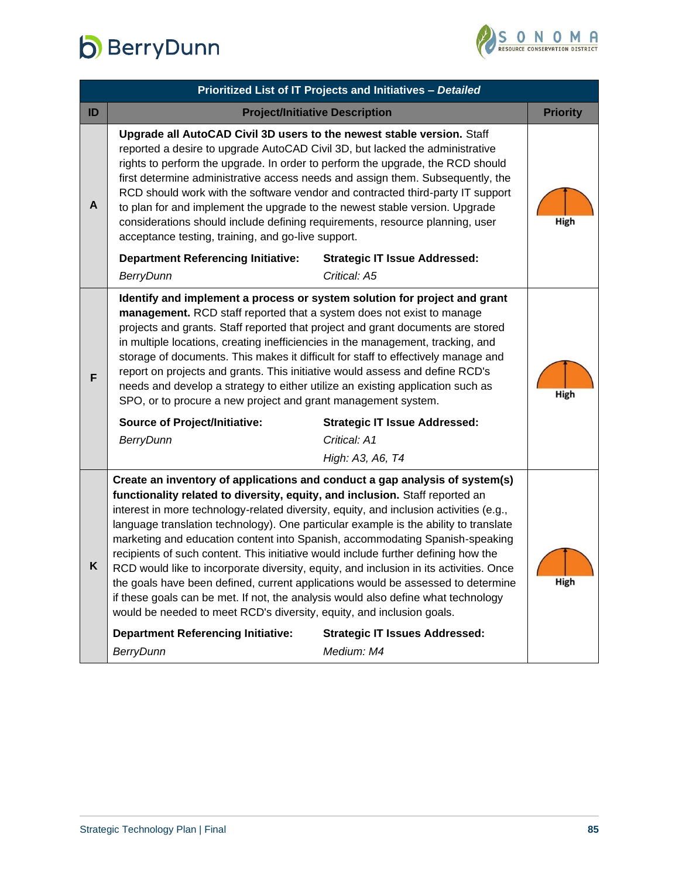

|    | Prioritized List of IT Projects and Initiatives - Detailed                                                                                                                                                                                                                                                                                                                                                                                                                                                                                                                                                                                                                                                                                                                                                                                                                                                                                                                              |                                                      |                 |  |
|----|-----------------------------------------------------------------------------------------------------------------------------------------------------------------------------------------------------------------------------------------------------------------------------------------------------------------------------------------------------------------------------------------------------------------------------------------------------------------------------------------------------------------------------------------------------------------------------------------------------------------------------------------------------------------------------------------------------------------------------------------------------------------------------------------------------------------------------------------------------------------------------------------------------------------------------------------------------------------------------------------|------------------------------------------------------|-----------------|--|
| ID |                                                                                                                                                                                                                                                                                                                                                                                                                                                                                                                                                                                                                                                                                                                                                                                                                                                                                                                                                                                         | <b>Project/Initiative Description</b>                | <b>Priority</b> |  |
| A  | Upgrade all AutoCAD Civil 3D users to the newest stable version. Staff<br>reported a desire to upgrade AutoCAD Civil 3D, but lacked the administrative<br>rights to perform the upgrade. In order to perform the upgrade, the RCD should<br>first determine administrative access needs and assign them. Subsequently, the<br>RCD should work with the software vendor and contracted third-party IT support<br>to plan for and implement the upgrade to the newest stable version. Upgrade<br>considerations should include defining requirements, resource planning, user<br>acceptance testing, training, and go-live support.                                                                                                                                                                                                                                                                                                                                                       |                                                      |                 |  |
|    | <b>Department Referencing Initiative:</b><br><b>BerryDunn</b>                                                                                                                                                                                                                                                                                                                                                                                                                                                                                                                                                                                                                                                                                                                                                                                                                                                                                                                           | <b>Strategic IT Issue Addressed:</b><br>Critical: A5 |                 |  |
| F  | Identify and implement a process or system solution for project and grant<br>management. RCD staff reported that a system does not exist to manage<br>projects and grants. Staff reported that project and grant documents are stored<br>in multiple locations, creating inefficiencies in the management, tracking, and<br>storage of documents. This makes it difficult for staff to effectively manage and<br>report on projects and grants. This initiative would assess and define RCD's<br>needs and develop a strategy to either utilize an existing application such as<br>SPO, or to procure a new project and grant management system.<br><b>Source of Project/Initiative:</b><br><b>Strategic IT Issue Addressed:</b><br>Critical: A1<br><b>BerryDunn</b><br>High: A3, A6, T4                                                                                                                                                                                                |                                                      | High            |  |
| K  | Create an inventory of applications and conduct a gap analysis of system(s)<br>functionality related to diversity, equity, and inclusion. Staff reported an<br>interest in more technology-related diversity, equity, and inclusion activities (e.g.,<br>language translation technology). One particular example is the ability to translate<br>marketing and education content into Spanish, accommodating Spanish-speaking<br>recipients of such content. This initiative would include further defining how the<br>RCD would like to incorporate diversity, equity, and inclusion in its activities. Once<br>the goals have been defined, current applications would be assessed to determine<br>if these goals can be met. If not, the analysis would also define what technology<br>would be needed to meet RCD's diversity, equity, and inclusion goals.<br><b>Department Referencing Initiative:</b><br><b>Strategic IT Issues Addressed:</b><br><b>BerryDunn</b><br>Medium: M4 |                                                      | High            |  |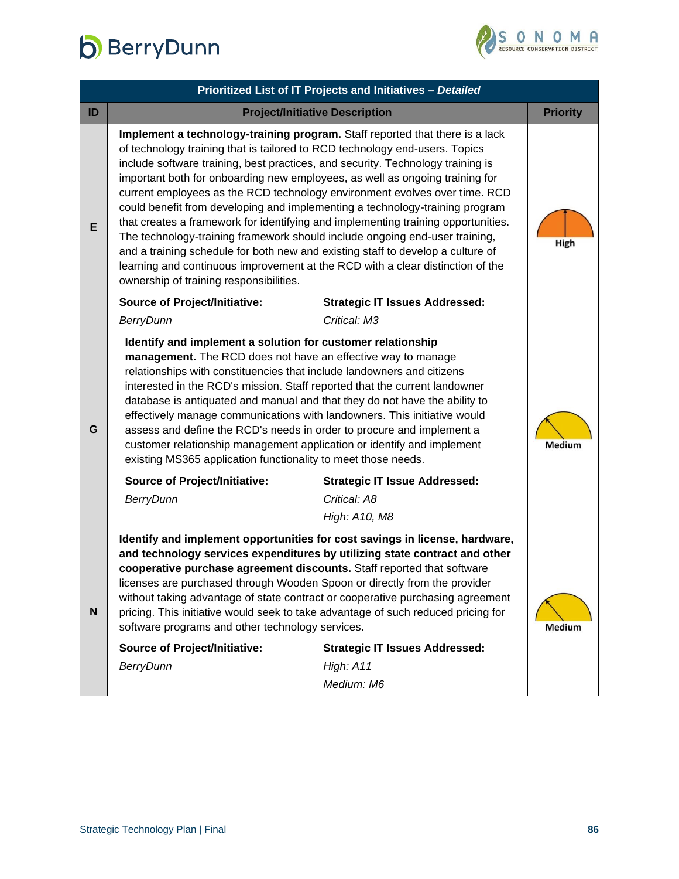

| Prioritized List of IT Projects and Initiatives - Detailed                                                                                                                                                                                                                                                                                                                                                                                                                                                                                                                                                                                                                                                                                                                                                                                                                       |                                       |                                                    |  |
|----------------------------------------------------------------------------------------------------------------------------------------------------------------------------------------------------------------------------------------------------------------------------------------------------------------------------------------------------------------------------------------------------------------------------------------------------------------------------------------------------------------------------------------------------------------------------------------------------------------------------------------------------------------------------------------------------------------------------------------------------------------------------------------------------------------------------------------------------------------------------------|---------------------------------------|----------------------------------------------------|--|
|                                                                                                                                                                                                                                                                                                                                                                                                                                                                                                                                                                                                                                                                                                                                                                                                                                                                                  |                                       | <b>Priority</b>                                    |  |
| Implement a technology-training program. Staff reported that there is a lack<br>of technology training that is tailored to RCD technology end-users. Topics<br>include software training, best practices, and security. Technology training is<br>important both for onboarding new employees, as well as ongoing training for<br>current employees as the RCD technology environment evolves over time. RCD<br>could benefit from developing and implementing a technology-training program<br>that creates a framework for identifying and implementing training opportunities.<br>The technology-training framework should include ongoing end-user training,<br>and a training schedule for both new and existing staff to develop a culture of<br>learning and continuous improvement at the RCD with a clear distinction of the<br>ownership of training responsibilities. |                                       | High                                               |  |
| <b>Source of Project/Initiative:</b>                                                                                                                                                                                                                                                                                                                                                                                                                                                                                                                                                                                                                                                                                                                                                                                                                                             | <b>Strategic IT Issues Addressed:</b> |                                                    |  |
| <b>BerryDunn</b>                                                                                                                                                                                                                                                                                                                                                                                                                                                                                                                                                                                                                                                                                                                                                                                                                                                                 | Critical: M3                          |                                                    |  |
| Identify and implement a solution for customer relationship<br>management. The RCD does not have an effective way to manage<br>relationships with constituencies that include landowners and citizens<br>interested in the RCD's mission. Staff reported that the current landowner<br>database is antiquated and manual and that they do not have the ability to<br>effectively manage communications with landowners. This initiative would<br>assess and define the RCD's needs in order to procure and implement a<br>customer relationship management application or identify and implement<br>existing MS365 application functionality to meet those needs.<br><b>Source of Project/Initiative:</b><br><b>Strategic IT Issue Addressed:</b><br><b>BerryDunn</b><br>Critical: A8                                                                                            |                                       | Medium                                             |  |
|                                                                                                                                                                                                                                                                                                                                                                                                                                                                                                                                                                                                                                                                                                                                                                                                                                                                                  | High: A10, M8                         |                                                    |  |
| Identify and implement opportunities for cost savings in license, hardware,<br>and technology services expenditures by utilizing state contract and other<br>cooperative purchase agreement discounts. Staff reported that software<br>licenses are purchased through Wooden Spoon or directly from the provider<br>without taking advantage of state contract or cooperative purchasing agreement<br>N<br>pricing. This initiative would seek to take advantage of such reduced pricing for<br>software programs and other technology services.<br><b>Source of Project/Initiative:</b><br><b>Strategic IT Issues Addressed:</b>                                                                                                                                                                                                                                                |                                       |                                                    |  |
|                                                                                                                                                                                                                                                                                                                                                                                                                                                                                                                                                                                                                                                                                                                                                                                                                                                                                  | Medium: M6                            |                                                    |  |
|                                                                                                                                                                                                                                                                                                                                                                                                                                                                                                                                                                                                                                                                                                                                                                                                                                                                                  | <b>BerryDunn</b>                      | <b>Project/Initiative Description</b><br>High: A11 |  |